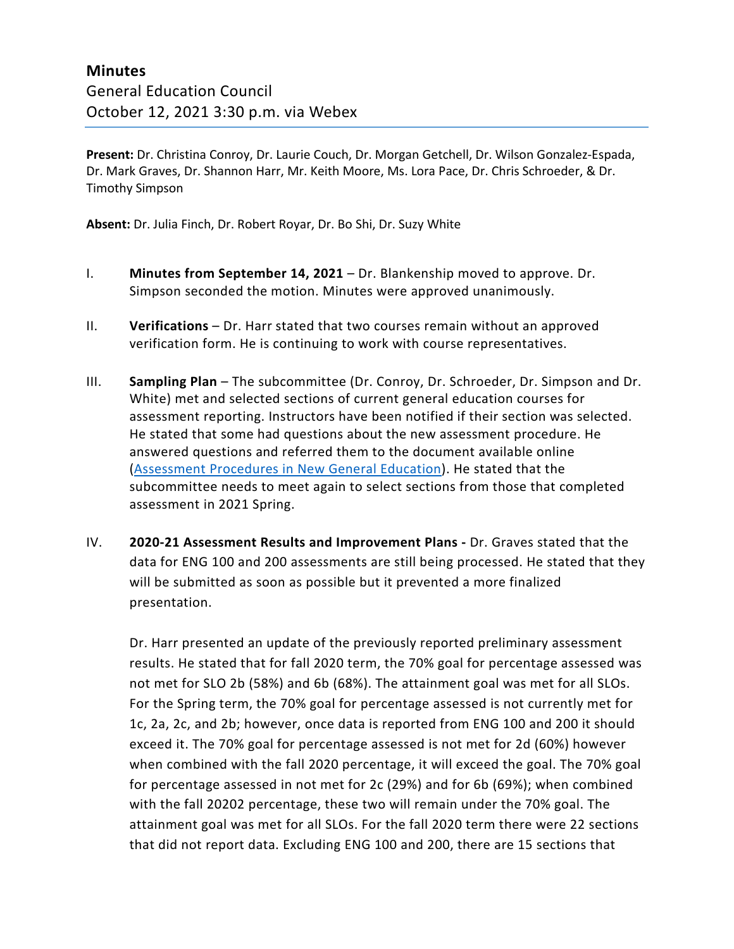**Present:** Dr. Christina Conroy, Dr. Laurie Couch, Dr. Morgan Getchell, Dr. Wilson Gonzalez-Espada, Dr. Mark Graves, Dr. Shannon Harr, Mr. Keith Moore, Ms. Lora Pace, Dr. Chris Schroeder, & Dr. Timothy Simpson

**Absent:** Dr. Julia Finch, Dr. Robert Royar, Dr. Bo Shi, Dr. Suzy White

- I. **Minutes from September 14, 2021** Dr. Blankenship moved to approve. Dr. Simpson seconded the motion. Minutes were approved unanimously.
- II. **Verifications**  Dr. Harr stated that two courses remain without an approved verification form. He is continuing to work with course representatives.
- III. **Sampling Plan** The subcommittee (Dr. Conroy, Dr. Schroeder, Dr. Simpson and Dr. White) met and selected sections of current general education courses for assessment reporting. Instructors have been notified if their section was selected. He stated that some had questions about the new assessment procedure. He answered questions and referred them to the document available online [\(Assessment Procedures in New General Education\)](https://www.moreheadstate.edu/MSU/media/Academic-Affairs/Gen%20Ed/2021/Assessment-Schedule-4-22-20.pdf). He stated that the subcommittee needs to meet again to select sections from those that completed assessment in 2021 Spring.
- IV. **2020-21 Assessment Results and Improvement Plans -** Dr. Graves stated that the data for ENG 100 and 200 assessments are still being processed. He stated that they will be submitted as soon as possible but it prevented a more finalized presentation.

Dr. Harr presented an update of the previously reported preliminary assessment results. He stated that for fall 2020 term, the 70% goal for percentage assessed was not met for SLO 2b (58%) and 6b (68%). The attainment goal was met for all SLOs. For the Spring term, the 70% goal for percentage assessed is not currently met for 1c, 2a, 2c, and 2b; however, once data is reported from ENG 100 and 200 it should exceed it. The 70% goal for percentage assessed is not met for 2d (60%) however when combined with the fall 2020 percentage, it will exceed the goal. The 70% goal for percentage assessed in not met for 2c (29%) and for 6b (69%); when combined with the fall 20202 percentage, these two will remain under the 70% goal. The attainment goal was met for all SLOs. For the fall 2020 term there were 22 sections that did not report data. Excluding ENG 100 and 200, there are 15 sections that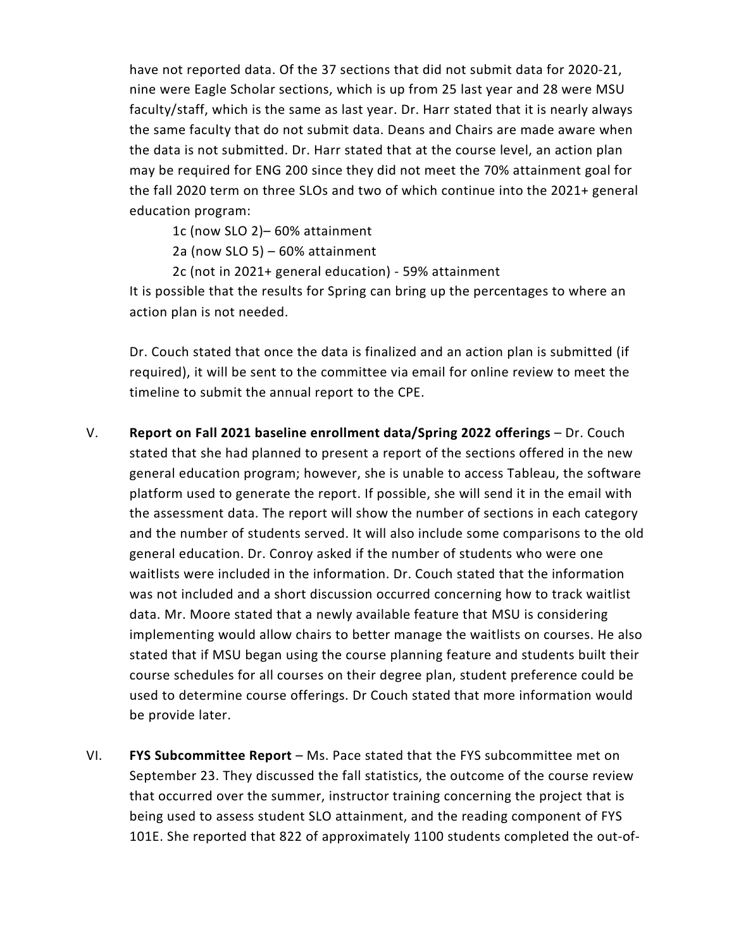have not reported data. Of the 37 sections that did not submit data for 2020-21, nine were Eagle Scholar sections, which is up from 25 last year and 28 were MSU faculty/staff, which is the same as last year. Dr. Harr stated that it is nearly always the same faculty that do not submit data. Deans and Chairs are made aware when the data is not submitted. Dr. Harr stated that at the course level, an action plan may be required for ENG 200 since they did not meet the 70% attainment goal for the fall 2020 term on three SLOs and two of which continue into the 2021+ general education program:

1c (now SLO 2)– 60% attainment

2a (now SLO 5) – 60% attainment

2c (not in 2021+ general education) - 59% attainment

It is possible that the results for Spring can bring up the percentages to where an action plan is not needed.

Dr. Couch stated that once the data is finalized and an action plan is submitted (if required), it will be sent to the committee via email for online review to meet the timeline to submit the annual report to the CPE.

- V. **Report on Fall 2021 baseline enrollment data/Spring 2022 offerings**  Dr. Couch stated that she had planned to present a report of the sections offered in the new general education program; however, she is unable to access Tableau, the software platform used to generate the report. If possible, she will send it in the email with the assessment data. The report will show the number of sections in each category and the number of students served. It will also include some comparisons to the old general education. Dr. Conroy asked if the number of students who were one waitlists were included in the information. Dr. Couch stated that the information was not included and a short discussion occurred concerning how to track waitlist data. Mr. Moore stated that a newly available feature that MSU is considering implementing would allow chairs to better manage the waitlists on courses. He also stated that if MSU began using the course planning feature and students built their course schedules for all courses on their degree plan, student preference could be used to determine course offerings. Dr Couch stated that more information would be provide later.
- VI. **FYS Subcommittee Report**  Ms. Pace stated that the FYS subcommittee met on September 23. They discussed the fall statistics, the outcome of the course review that occurred over the summer, instructor training concerning the project that is being used to assess student SLO attainment, and the reading component of FYS 101E. She reported that 822 of approximately 1100 students completed the out-of-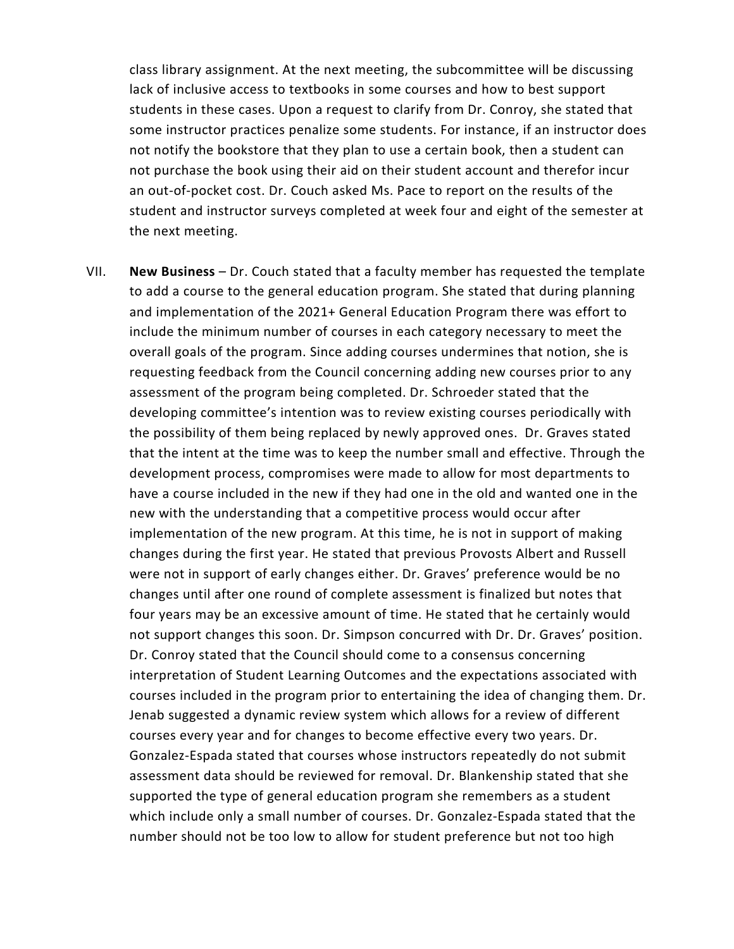class library assignment. At the next meeting, the subcommittee will be discussing lack of inclusive access to textbooks in some courses and how to best support students in these cases. Upon a request to clarify from Dr. Conroy, she stated that some instructor practices penalize some students. For instance, if an instructor does not notify the bookstore that they plan to use a certain book, then a student can not purchase the book using their aid on their student account and therefor incur an out-of-pocket cost. Dr. Couch asked Ms. Pace to report on the results of the student and instructor surveys completed at week four and eight of the semester at the next meeting.

VII. **New Business** – Dr. Couch stated that a faculty member has requested the template to add a course to the general education program. She stated that during planning and implementation of the 2021+ General Education Program there was effort to include the minimum number of courses in each category necessary to meet the overall goals of the program. Since adding courses undermines that notion, she is requesting feedback from the Council concerning adding new courses prior to any assessment of the program being completed. Dr. Schroeder stated that the developing committee's intention was to review existing courses periodically with the possibility of them being replaced by newly approved ones. Dr. Graves stated that the intent at the time was to keep the number small and effective. Through the development process, compromises were made to allow for most departments to have a course included in the new if they had one in the old and wanted one in the new with the understanding that a competitive process would occur after implementation of the new program. At this time, he is not in support of making changes during the first year. He stated that previous Provosts Albert and Russell were not in support of early changes either. Dr. Graves' preference would be no changes until after one round of complete assessment is finalized but notes that four years may be an excessive amount of time. He stated that he certainly would not support changes this soon. Dr. Simpson concurred with Dr. Dr. Graves' position. Dr. Conroy stated that the Council should come to a consensus concerning interpretation of Student Learning Outcomes and the expectations associated with courses included in the program prior to entertaining the idea of changing them. Dr. Jenab suggested a dynamic review system which allows for a review of different courses every year and for changes to become effective every two years. Dr. Gonzalez-Espada stated that courses whose instructors repeatedly do not submit assessment data should be reviewed for removal. Dr. Blankenship stated that she supported the type of general education program she remembers as a student which include only a small number of courses. Dr. Gonzalez-Espada stated that the number should not be too low to allow for student preference but not too high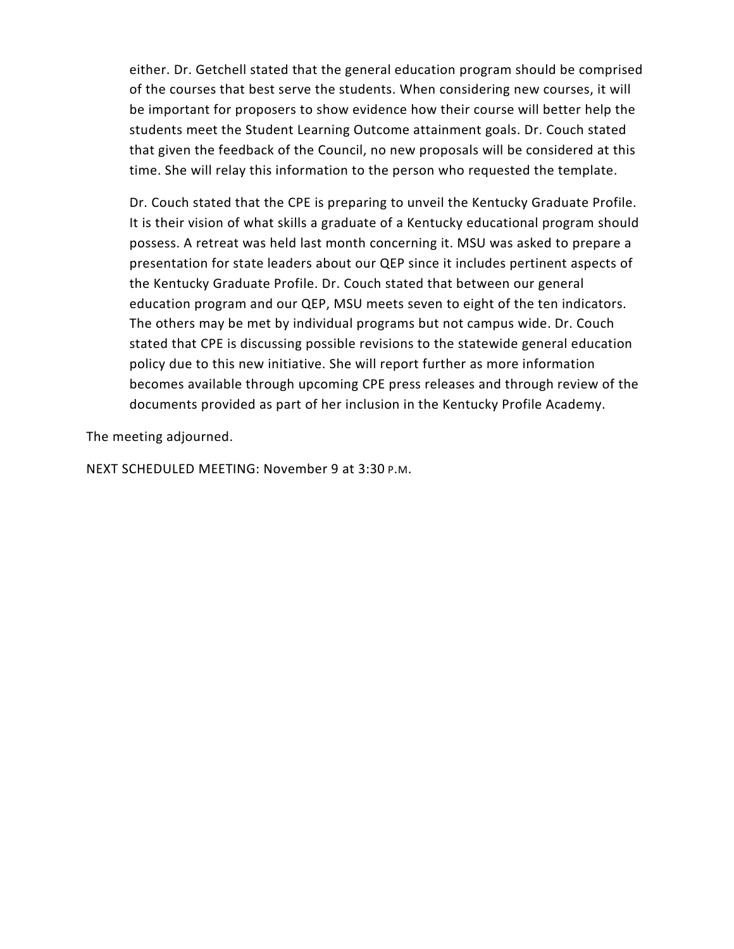either. Dr. Getchell stated that the general education program should be comprised of the courses that best serve the students. When considering new courses, it will be important for proposers to show evidence how their course will better help the students meet the Student Learning Outcome attainment goals. Dr. Couch stated that given the feedback of the Council, no new proposals will be considered at this time. She will relay this information to the person who requested the template.

Dr. Couch stated that the CPE is preparing to unveil the Kentucky Graduate Profile. It is their vision of what skills a graduate of a Kentucky educational program should possess. A retreat was held last month concerning it. MSU was asked to prepare a presentation for state leaders about our QEP since it includes pertinent aspects of the Kentucky Graduate Profile. Dr. Couch stated that between our general education program and our QEP, MSU meets seven to eight of the ten indicators. The others may be met by individual programs but not campus wide. Dr. Couch stated that CPE is discussing possible revisions to the statewide general education policy due to this new initiative. She will report further as more information becomes available through upcoming CPE press releases and through review of the documents provided as part of her inclusion in the Kentucky Profile Academy.

The meeting adjourned.

NEXT SCHEDULED MEETING: November 9 at 3:30 P.M.